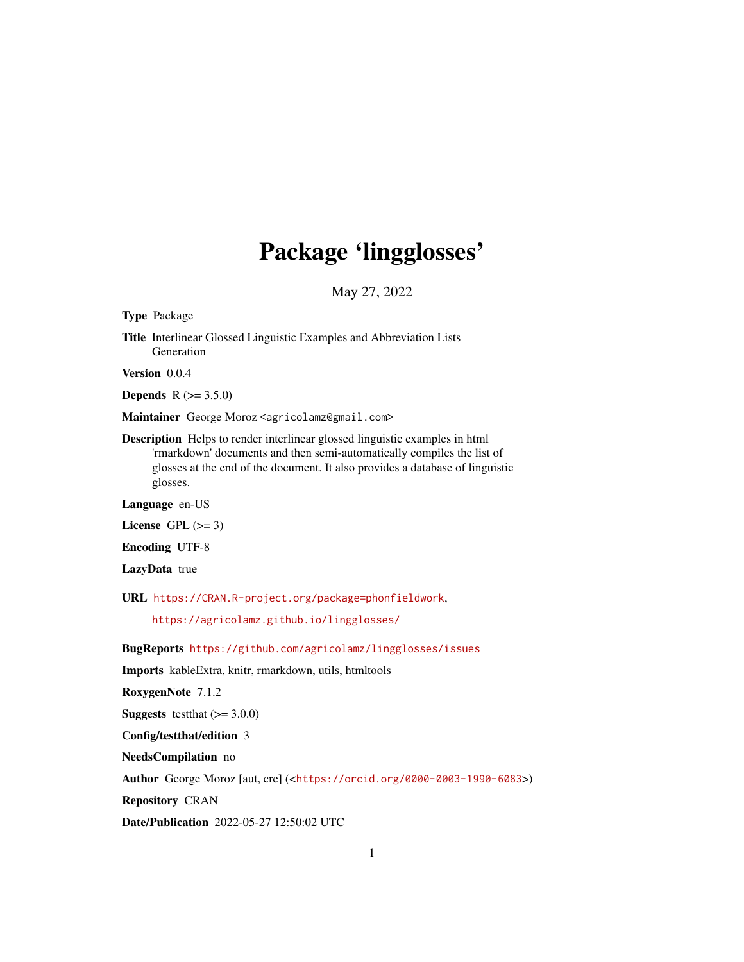# Package 'lingglosses'

May 27, 2022

Type Package

Title Interlinear Glossed Linguistic Examples and Abbreviation Lists Generation

Version 0.0.4

**Depends** R  $(>= 3.5.0)$ 

Maintainer George Moroz <agricolamz@gmail.com>

Description Helps to render interlinear glossed linguistic examples in html 'rmarkdown' documents and then semi-automatically compiles the list of glosses at the end of the document. It also provides a database of linguistic glosses.

Language en-US

License GPL  $(>= 3)$ 

Encoding UTF-8

LazyData true

URL <https://CRAN.R-project.org/package=phonfieldwork>,

<https://agricolamz.github.io/lingglosses/>

BugReports <https://github.com/agricolamz/lingglosses/issues>

Imports kableExtra, knitr, rmarkdown, utils, htmltools

RoxygenNote 7.1.2

**Suggests** testthat  $(>= 3.0.0)$ 

Config/testthat/edition 3

NeedsCompilation no

Author George Moroz [aut, cre] (<<https://orcid.org/0000-0003-1990-6083>>)

Repository CRAN

Date/Publication 2022-05-27 12:50:02 UTC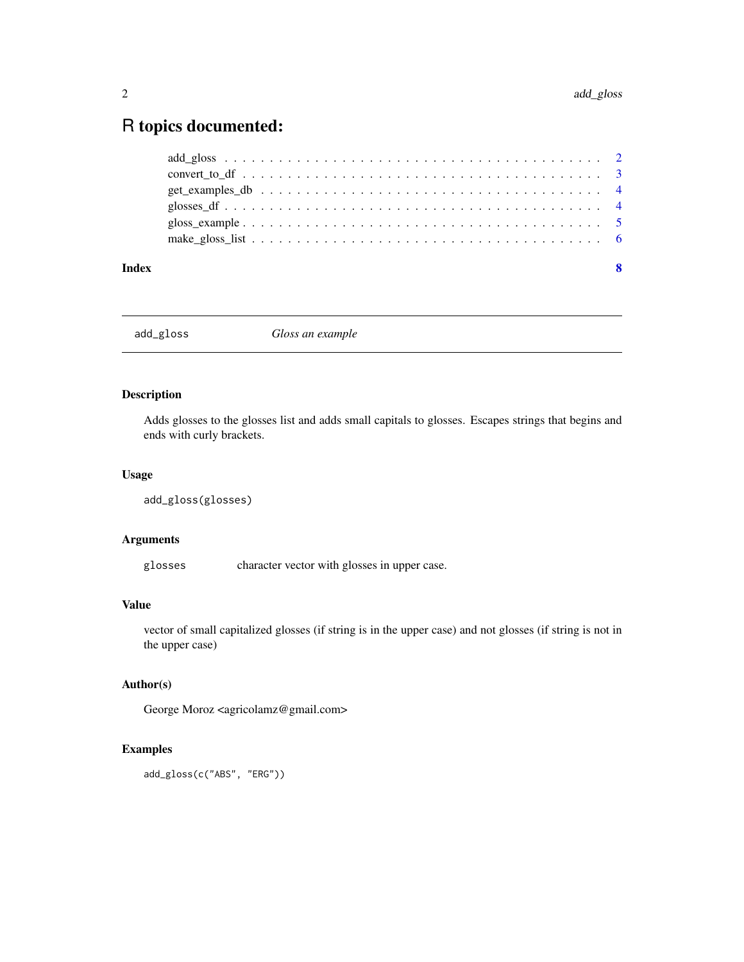# <span id="page-1-0"></span>R topics documented:

| Index | -8 |
|-------|----|
|       |    |
|       |    |
|       |    |
|       |    |
|       |    |
|       |    |

add\_gloss *Gloss an example*

# Description

Adds glosses to the glosses list and adds small capitals to glosses. Escapes strings that begins and ends with curly brackets.

## Usage

```
add_gloss(glosses)
```
# Arguments

glosses character vector with glosses in upper case.

# Value

vector of small capitalized glosses (if string is in the upper case) and not glosses (if string is not in the upper case)

# Author(s)

George Moroz <agricolamz@gmail.com>

# Examples

add\_gloss(c("ABS", "ERG"))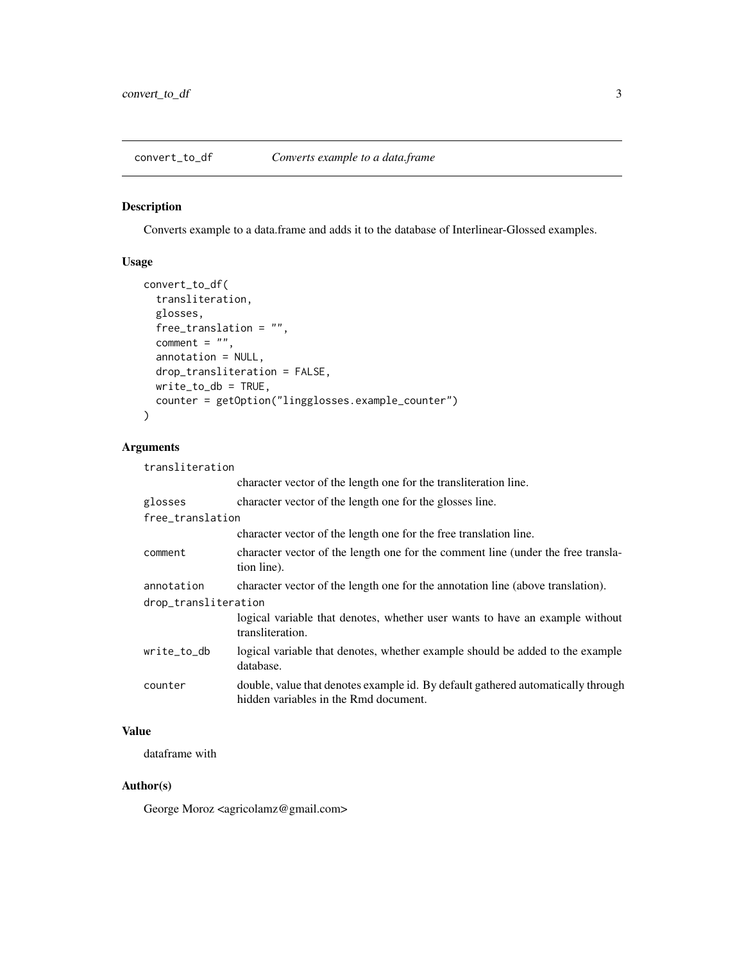<span id="page-2-0"></span>convert\_to\_df *Converts example to a data.frame*

# Description

Converts example to a data.frame and adds it to the database of Interlinear-Glossed examples.

# Usage

```
convert_to_df(
 transliteration,
 glosses,
 free_translation = "",
 comment = ",
 annotation = NULL,
 drop_transliteration = FALSE,
 write_to_db = TRUE,
 counter = getOption("lingglosses.example_counter")
)
```
# Arguments

| transliteration      |                                                                                                                           |
|----------------------|---------------------------------------------------------------------------------------------------------------------------|
|                      | character vector of the length one for the transliteration line.                                                          |
| glosses              | character vector of the length one for the glosses line.                                                                  |
| free_translation     |                                                                                                                           |
|                      | character vector of the length one for the free translation line.                                                         |
| comment              | character vector of the length one for the comment line (under the free transla-<br>tion line).                           |
| annotation           | character vector of the length one for the annotation line (above translation).                                           |
| drop_transliteration |                                                                                                                           |
|                      | logical variable that denotes, whether user wants to have an example without<br>transliteration.                          |
| write_to_db          | logical variable that denotes, whether example should be added to the example<br>database.                                |
| counter              | double, value that denotes example id. By default gathered automatically through<br>hidden variables in the Rmd document. |
|                      |                                                                                                                           |

# Value

dataframe with

#### Author(s)

George Moroz <agricolamz@gmail.com>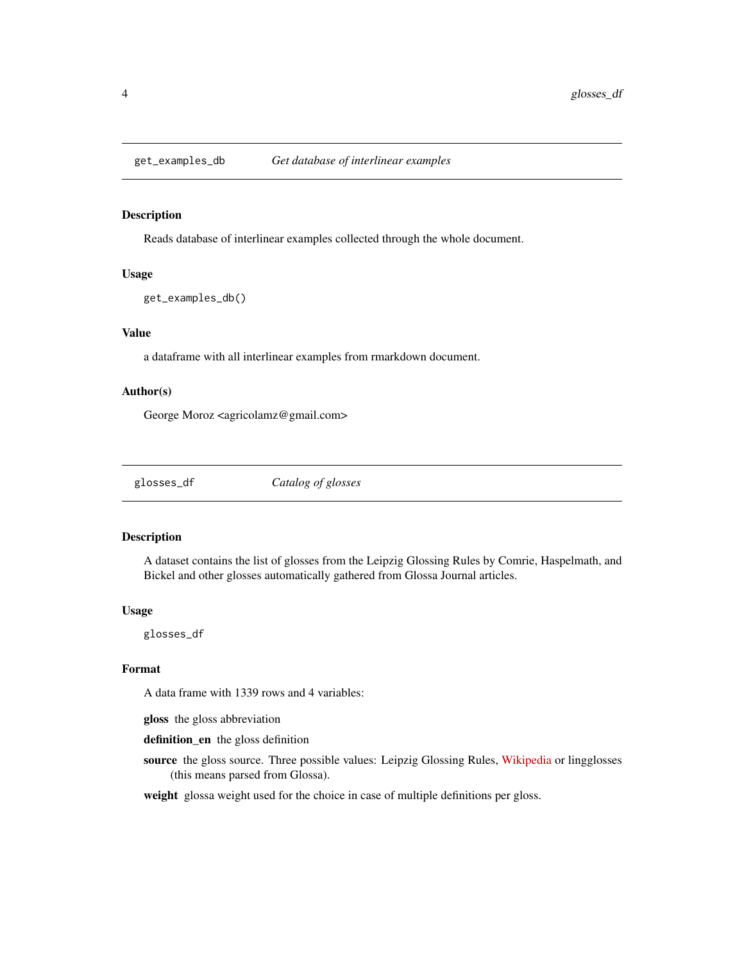<span id="page-3-0"></span>

### Description

Reads database of interlinear examples collected through the whole document.

## Usage

get\_examples\_db()

### Value

a dataframe with all interlinear examples from rmarkdown document.

#### Author(s)

George Moroz <agricolamz@gmail.com>

glosses\_df *Catalog of glosses*

#### Description

A dataset contains the list of glosses from the Leipzig Glossing Rules by Comrie, Haspelmath, and Bickel and other glosses automatically gathered from Glossa Journal articles.

#### Usage

glosses\_df

### Format

A data frame with 1339 rows and 4 variables:

gloss the gloss abbreviation

definition\_en the gloss definition

source the gloss source. Three possible values: Leipzig Glossing Rules, [Wikipedia](https://en.wikipedia.org/wiki/List_of_glossing_abbreviations) or lingglosses (this means parsed from Glossa).

weight glossa weight used for the choice in case of multiple definitions per gloss.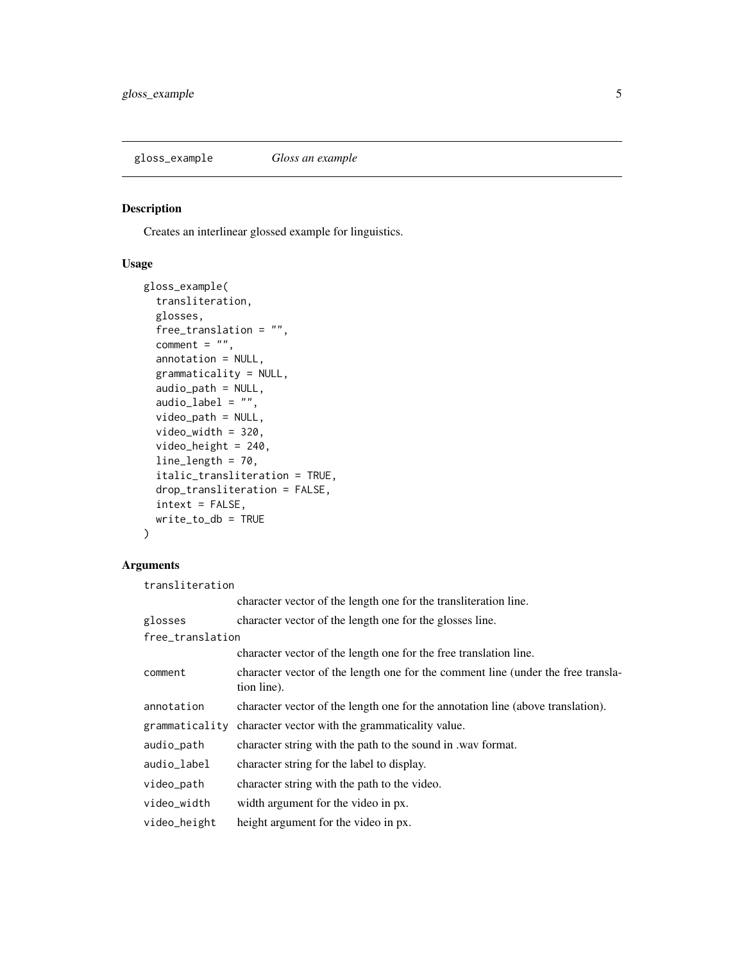<span id="page-4-1"></span><span id="page-4-0"></span>gloss\_example *Gloss an example*

# Description

Creates an interlinear glossed example for linguistics.

# Usage

```
gloss_example(
  transliteration,
  glosses,
  free_translation = "",
  comment = "",annotation = NULL,
  grammaticality = NULL,
  audio_path = NULL,
  audio_label = ",
  video_path = NULL,
  video_width = 320,
  video_height = 240,
  line_length = 70,
  italic_transliteration = TRUE,
  drop_transliteration = FALSE,
  intext = FALSE,
  write_to_db = TRUE
)
```
# Arguments

transliteration

|                  | character vector of the length one for the transliteration line.                                |
|------------------|-------------------------------------------------------------------------------------------------|
| glosses          | character vector of the length one for the glosses line.                                        |
| free_translation |                                                                                                 |
|                  | character vector of the length one for the free translation line.                               |
| comment          | character vector of the length one for the comment line (under the free transla-<br>tion line). |
| annotation       | character vector of the length one for the annotation line (above translation).                 |
| grammaticality   | character vector with the grammaticality value.                                                 |
| audio_path       | character string with the path to the sound in .wav format.                                     |
| audio_label      | character string for the label to display.                                                      |
| video_path       | character string with the path to the video.                                                    |
| video_width      | width argument for the video in px.                                                             |
| video_height     | height argument for the video in px.                                                            |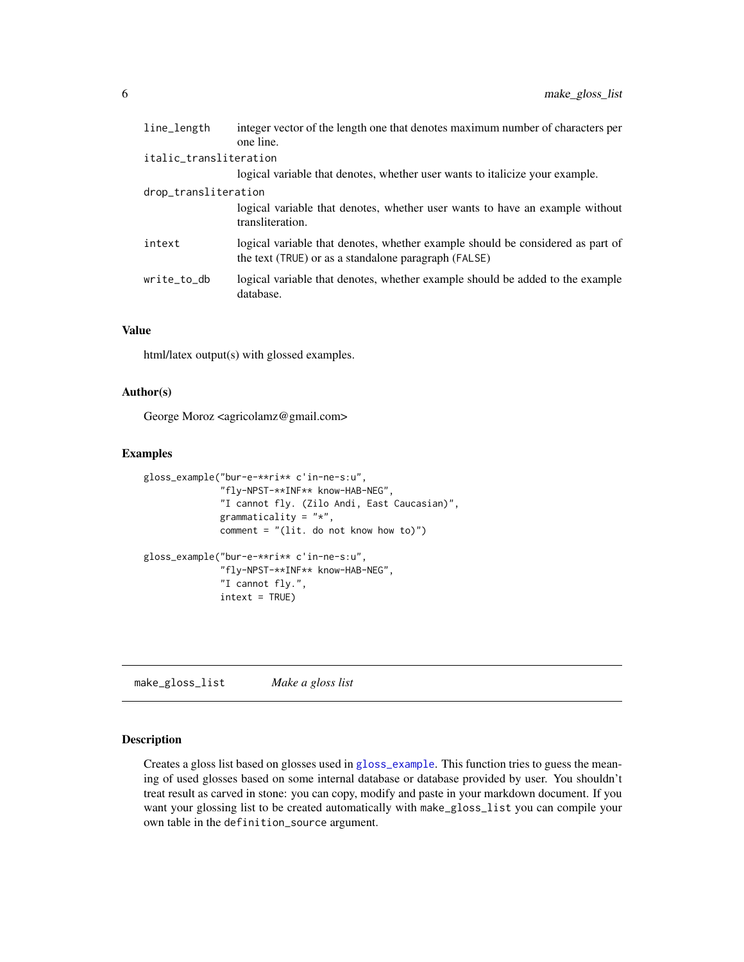<span id="page-5-0"></span>

| integer vector of the length one that denotes maximum number of characters per<br>one line.                                            |
|----------------------------------------------------------------------------------------------------------------------------------------|
| italic_transliteration                                                                                                                 |
| logical variable that denotes, whether user wants to italicize your example.                                                           |
| drop_transliteration                                                                                                                   |
| logical variable that denotes, whether user wants to have an example without<br>transliteration.                                       |
| logical variable that denotes, whether example should be considered as part of<br>the text (TRUE) or as a standalone paragraph (FALSE) |
| logical variable that denotes, whether example should be added to the example<br>database.                                             |
|                                                                                                                                        |

#### Value

html/latex output(s) with glossed examples.

#### Author(s)

George Moroz <agricolamz@gmail.com>

#### Examples

```
gloss_example("bur-e-**ri** c'in-ne-s:u",
              "fly-NPST-**INF** know-HAB-NEG",
              "I cannot fly. (Zilo Andi, East Caucasian)",
              grammaticality = "*",
              comment = "(\text{lit. do not know how to})")
gloss_example("bur-e-**ri** c'in-ne-s:u",
              "fly-NPST-**INF** know-HAB-NEG",
              "I cannot fly.",
              intext = TRUE)
```
make\_gloss\_list *Make a gloss list*

#### Description

Creates a gloss list based on glosses used in [gloss\\_example](#page-4-1). This function tries to guess the meaning of used glosses based on some internal database or database provided by user. You shouldn't treat result as carved in stone: you can copy, modify and paste in your markdown document. If you want your glossing list to be created automatically with make\_gloss\_list you can compile your own table in the definition\_source argument.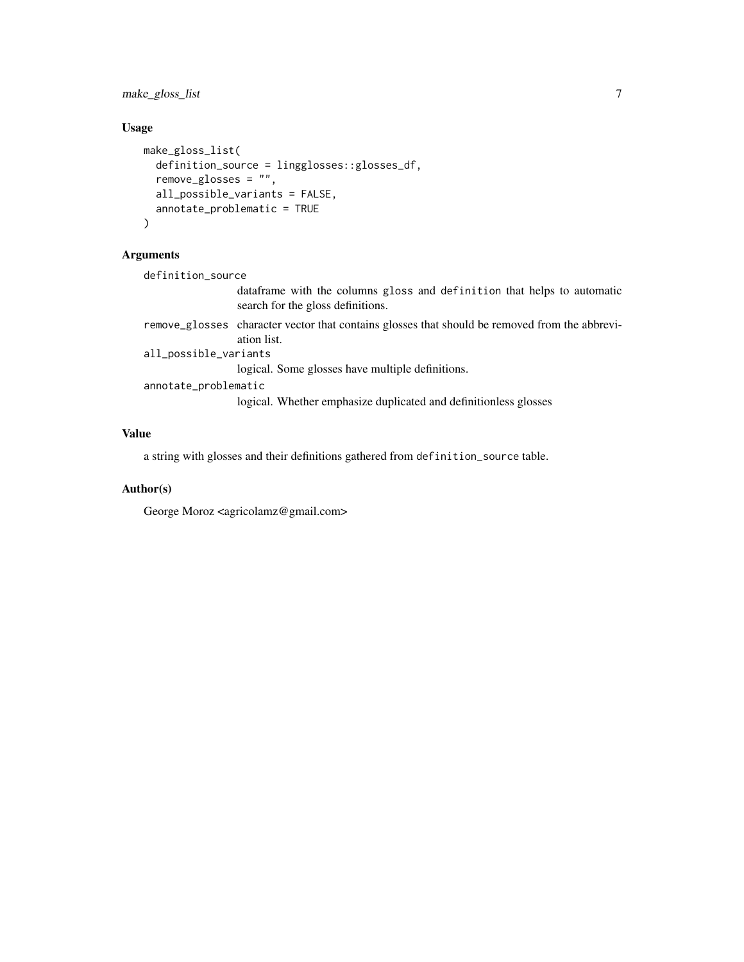make\_gloss\_list 7

# Usage

```
make_gloss_list(
  definition_source = lingglosses::glosses_df,
  remove_glosses = "",
  all_possible_variants = FALSE,
  annotate_problematic = TRUE
\mathcal{L}
```
# Arguments

definition\_source

dataframe with the columns gloss and definition that helps to automatic search for the gloss definitions.

remove\_glosses character vector that contains glosses that should be removed from the abbreviation list. all\_possible\_variants

logical. Some glosses have multiple definitions.

annotate\_problematic

logical. Whether emphasize duplicated and definitionless glosses

# Value

a string with glosses and their definitions gathered from definition\_source table.

# Author(s)

George Moroz <agricolamz@gmail.com>